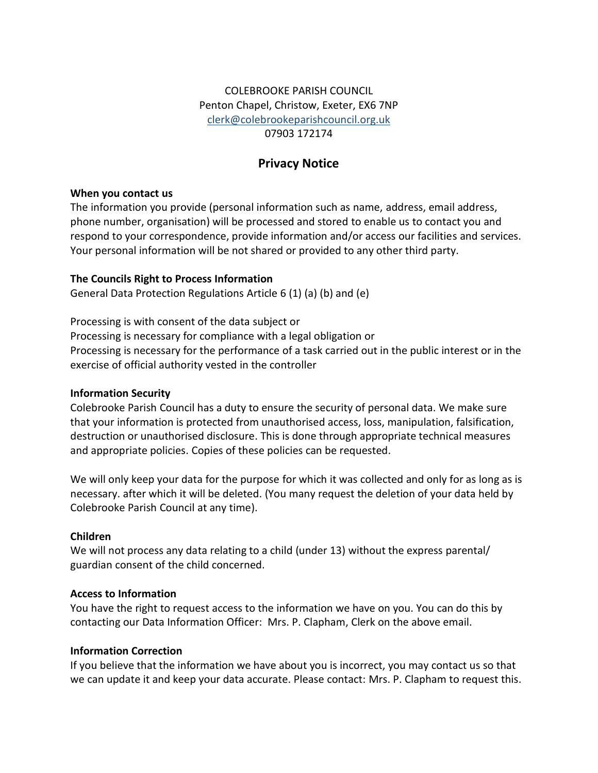# COLEBROOKE PARISH COUNCIL Penton Chapel, Christow, Exeter, EX6 7NP [clerk@colebrookeparishcouncil.org.uk](mailto:clerk@colebrookeparishcouncil.org.uk) 07903 172174

# **Privacy Notice**

### **When you contact us**

The information you provide (personal information such as name, address, email address, phone number, organisation) will be processed and stored to enable us to contact you and respond to your correspondence, provide information and/or access our facilities and services. Your personal information will be not shared or provided to any other third party.

### **The Councils Right to Process Information**

General Data Protection Regulations Article 6 (1) (a) (b) and (e)

Processing is with consent of the data subject or Processing is necessary for compliance with a legal obligation or Processing is necessary for the performance of a task carried out in the public interest or in the exercise of official authority vested in the controller

# **Information Security**

Colebrooke Parish Council has a duty to ensure the security of personal data. We make sure that your information is protected from unauthorised access, loss, manipulation, falsification, destruction or unauthorised disclosure. This is done through appropriate technical measures and appropriate policies. Copies of these policies can be requested.

We will only keep your data for the purpose for which it was collected and only for as long as is necessary. after which it will be deleted. (You many request the deletion of your data held by Colebrooke Parish Council at any time).

# **Children**

We will not process any data relating to a child (under 13) without the express parental/ guardian consent of the child concerned.

# **Access to Information**

You have the right to request access to the information we have on you. You can do this by contacting our Data Information Officer: Mrs. P. Clapham, Clerk on the above email.

### **Information Correction**

If you believe that the information we have about you is incorrect, you may contact us so that we can update it and keep your data accurate. Please contact: Mrs. P. Clapham to request this.